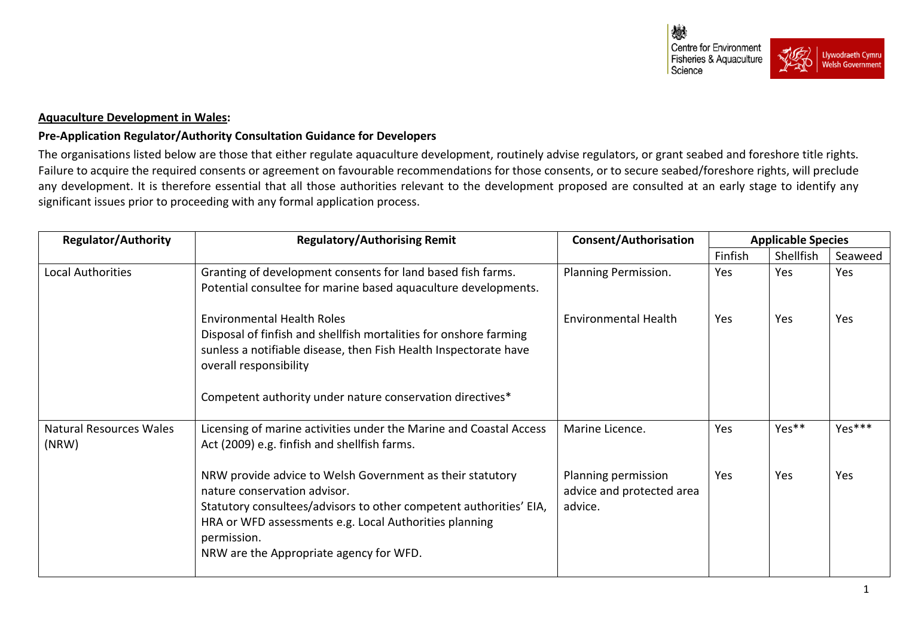

## **Aquaculture Development in Wales:**

## **Pre-Application Regulator/Authority Consultation Guidance for Developers**

The organisations listed below are those that either regulate aquaculture development, routinely advise regulators, or grant seabed and foreshore title rights. Failure to acquire the required consents or agreement on favourable recommendations for those consents, or to secure seabed/foreshore rights, will preclude any development. It is therefore essential that all those authorities relevant to the development proposed are consulted at an early stage to identify any significant issues prior to proceeding with any formal application process.

| <b>Regulator/Authority</b>              | <b>Regulatory/Authorising Remit</b>                                                                                                                                                                                                                                                 | <b>Consent/Authorisation</b>                                | <b>Applicable Species</b> |            |            |
|-----------------------------------------|-------------------------------------------------------------------------------------------------------------------------------------------------------------------------------------------------------------------------------------------------------------------------------------|-------------------------------------------------------------|---------------------------|------------|------------|
|                                         |                                                                                                                                                                                                                                                                                     |                                                             | Finfish                   | Shellfish  | Seaweed    |
| Local Authorities                       | Granting of development consents for land based fish farms.<br>Potential consultee for marine based aquaculture developments.                                                                                                                                                       | Planning Permission.                                        | Yes                       | Yes        | Yes        |
|                                         | <b>Environmental Health Roles</b><br>Disposal of finfish and shellfish mortalities for onshore farming<br>sunless a notifiable disease, then Fish Health Inspectorate have<br>overall responsibility<br>Competent authority under nature conservation directives*                   | <b>Environmental Health</b>                                 | Yes                       | <b>Yes</b> | <b>Yes</b> |
|                                         |                                                                                                                                                                                                                                                                                     |                                                             |                           |            |            |
| <b>Natural Resources Wales</b><br>(NRW) | Licensing of marine activities under the Marine and Coastal Access<br>Act (2009) e.g. finfish and shellfish farms.                                                                                                                                                                  | Marine Licence.                                             | Yes                       | Yes**      | Yes***     |
|                                         | NRW provide advice to Welsh Government as their statutory<br>nature conservation advisor.<br>Statutory consultees/advisors to other competent authorities' EIA,<br>HRA or WFD assessments e.g. Local Authorities planning<br>permission.<br>NRW are the Appropriate agency for WFD. | Planning permission<br>advice and protected area<br>advice. | Yes                       | Yes        | Yes        |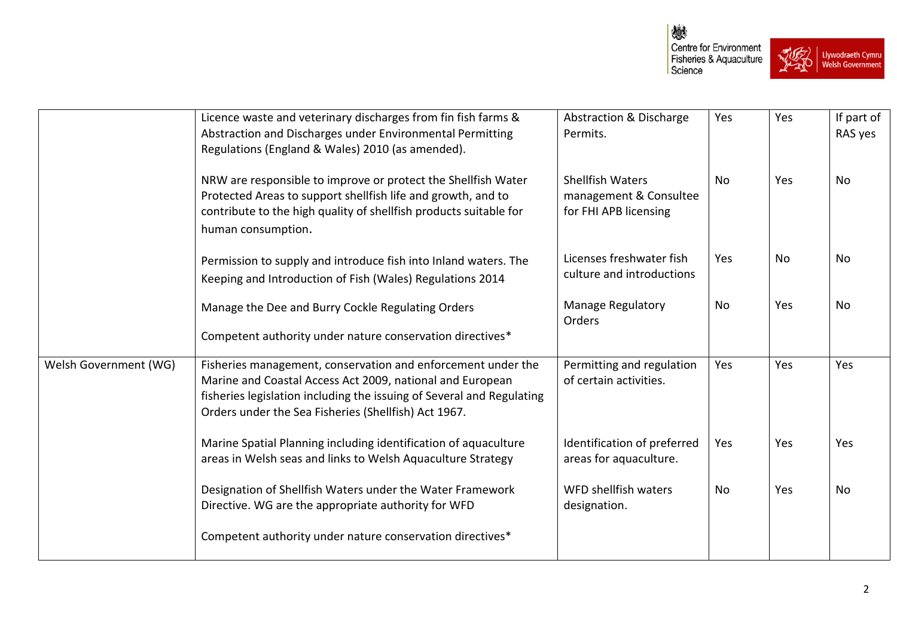

|                       | Licence waste and veterinary discharges from fin fish farms &<br>Abstraction and Discharges under Environmental Permitting<br>Regulations (England & Wales) 2010 (as amended).                                                                             | Abstraction & Discharge<br>Permits.                                        | Yes            | Yes        | If part of<br>RAS yes |
|-----------------------|------------------------------------------------------------------------------------------------------------------------------------------------------------------------------------------------------------------------------------------------------------|----------------------------------------------------------------------------|----------------|------------|-----------------------|
|                       | NRW are responsible to improve or protect the Shellfish Water<br>Protected Areas to support shellfish life and growth, and to<br>contribute to the high quality of shellfish products suitable for<br>human consumption.                                   | <b>Shellfish Waters</b><br>management & Consultee<br>for FHI APB licensing | N <sub>0</sub> | Yes        | <b>No</b>             |
|                       | Permission to supply and introduce fish into Inland waters. The<br>Keeping and Introduction of Fish (Wales) Regulations 2014                                                                                                                               | Licenses freshwater fish<br>culture and introductions                      | Yes            | No         | No                    |
|                       | Manage the Dee and Burry Cockle Regulating Orders<br>Competent authority under nature conservation directives*                                                                                                                                             | <b>Manage Regulatory</b><br>Orders                                         | No             | Yes        | <b>No</b>             |
| Welsh Government (WG) | Fisheries management, conservation and enforcement under the<br>Marine and Coastal Access Act 2009, national and European<br>fisheries legislation including the issuing of Several and Regulating<br>Orders under the Sea Fisheries (Shellfish) Act 1967. | Permitting and regulation<br>of certain activities.                        | Yes            | Yes        | Yes                   |
|                       | Marine Spatial Planning including identification of aquaculture<br>areas in Welsh seas and links to Welsh Aquaculture Strategy                                                                                                                             | Identification of preferred<br>areas for aquaculture.                      | Yes            | <b>Yes</b> | Yes                   |
|                       | Designation of Shellfish Waters under the Water Framework<br>Directive. WG are the appropriate authority for WFD                                                                                                                                           | WFD shellfish waters<br>designation.                                       | No             | Yes        | No                    |
|                       | Competent authority under nature conservation directives*                                                                                                                                                                                                  |                                                                            |                |            |                       |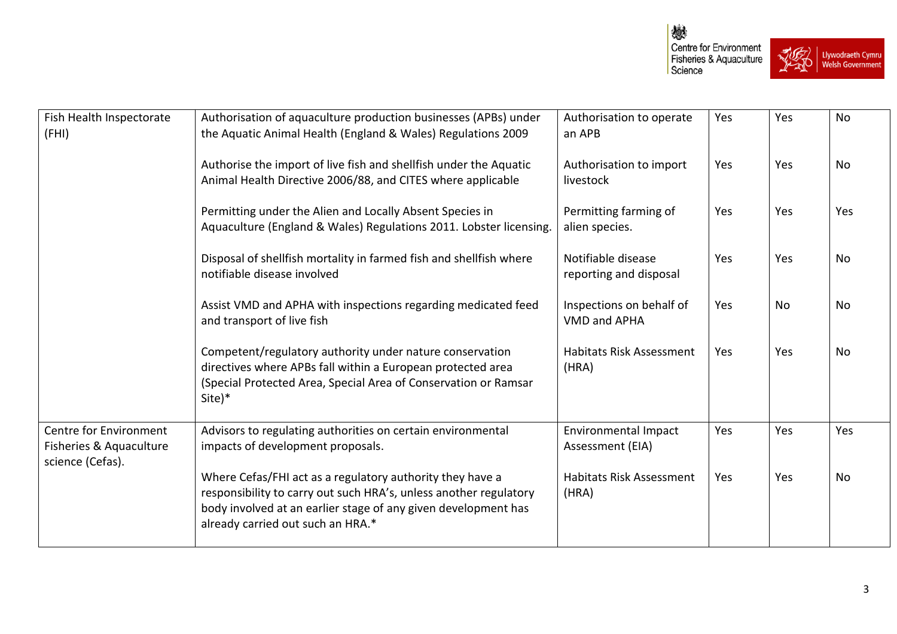

| Fish Health Inspectorate<br>(FHI)                                     | Authorisation of aquaculture production businesses (APBs) under<br>the Aquatic Animal Health (England & Wales) Regulations 2009                                                                                                       | Authorisation to operate<br>an APB              | Yes | Yes        | No  |
|-----------------------------------------------------------------------|---------------------------------------------------------------------------------------------------------------------------------------------------------------------------------------------------------------------------------------|-------------------------------------------------|-----|------------|-----|
|                                                                       | Authorise the import of live fish and shellfish under the Aquatic<br>Animal Health Directive 2006/88, and CITES where applicable                                                                                                      | Authorisation to import<br>livestock            | Yes | Yes        | No  |
|                                                                       | Permitting under the Alien and Locally Absent Species in<br>Aquaculture (England & Wales) Regulations 2011. Lobster licensing.                                                                                                        | Permitting farming of<br>alien species.         | Yes | <b>Yes</b> | Yes |
|                                                                       | Disposal of shellfish mortality in farmed fish and shellfish where<br>notifiable disease involved                                                                                                                                     | Notifiable disease<br>reporting and disposal    | Yes | Yes        | No  |
|                                                                       | Assist VMD and APHA with inspections regarding medicated feed<br>and transport of live fish                                                                                                                                           | Inspections on behalf of<br><b>VMD and APHA</b> | Yes | No         | No  |
|                                                                       | Competent/regulatory authority under nature conservation<br>directives where APBs fall within a European protected area<br>(Special Protected Area, Special Area of Conservation or Ramsar<br>Site)*                                  | <b>Habitats Risk Assessment</b><br>(HRA)        | Yes | Yes        | No  |
| Centre for Environment<br>Fisheries & Aquaculture<br>science (Cefas). | Advisors to regulating authorities on certain environmental<br>impacts of development proposals.                                                                                                                                      | <b>Environmental Impact</b><br>Assessment (EIA) | Yes | <b>Yes</b> | Yes |
|                                                                       | Where Cefas/FHI act as a regulatory authority they have a<br>responsibility to carry out such HRA's, unless another regulatory<br>body involved at an earlier stage of any given development has<br>already carried out such an HRA.* | <b>Habitats Risk Assessment</b><br>(HRA)        | Yes | Yes        | No  |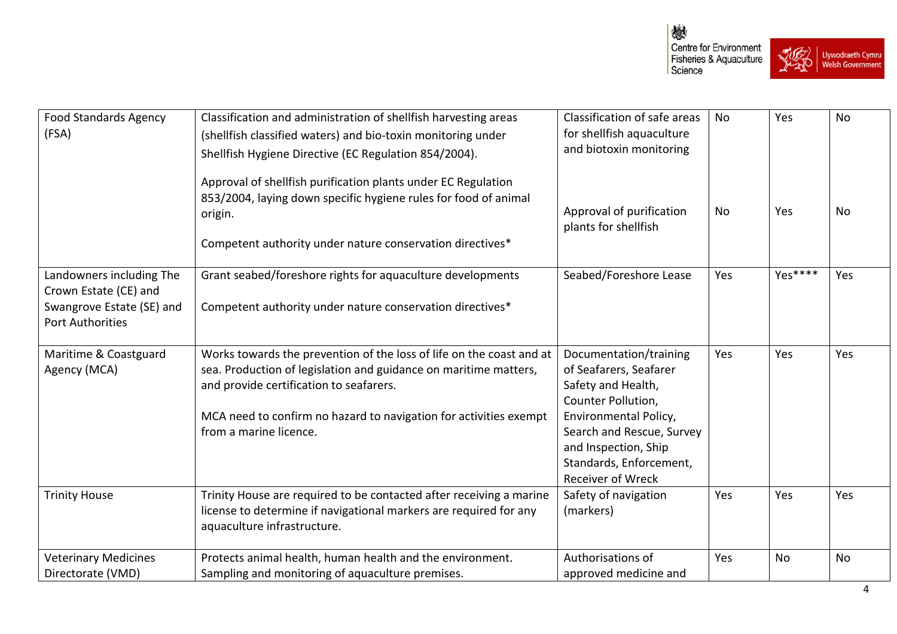

| <b>Food Standards Agency</b><br>(FSA)                                                                     | Classification and administration of shellfish harvesting areas<br>(shellfish classified waters) and bio-toxin monitoring under<br>Shellfish Hygiene Directive (EC Regulation 854/2004).<br>Approval of shellfish purification plants under EC Regulation<br>853/2004, laying down specific hygiene rules for food of animal<br>origin.<br>Competent authority under nature conservation directives* | Classification of safe areas<br>for shellfish aquaculture<br>and biotoxin monitoring<br>Approval of purification<br>plants for shellfish                                                                                          | No<br>No | Yes<br>Yes | No<br>No  |
|-----------------------------------------------------------------------------------------------------------|------------------------------------------------------------------------------------------------------------------------------------------------------------------------------------------------------------------------------------------------------------------------------------------------------------------------------------------------------------------------------------------------------|-----------------------------------------------------------------------------------------------------------------------------------------------------------------------------------------------------------------------------------|----------|------------|-----------|
| Landowners including The<br>Crown Estate (CE) and<br>Swangrove Estate (SE) and<br><b>Port Authorities</b> | Grant seabed/foreshore rights for aquaculture developments<br>Competent authority under nature conservation directives*                                                                                                                                                                                                                                                                              | Seabed/Foreshore Lease                                                                                                                                                                                                            | Yes      | Yes****    | Yes       |
| Maritime & Coastguard<br>Agency (MCA)                                                                     | Works towards the prevention of the loss of life on the coast and at<br>sea. Production of legislation and guidance on maritime matters,<br>and provide certification to seafarers.<br>MCA need to confirm no hazard to navigation for activities exempt<br>from a marine licence.                                                                                                                   | Documentation/training<br>of Seafarers, Seafarer<br>Safety and Health,<br>Counter Pollution,<br>Environmental Policy,<br>Search and Rescue, Survey<br>and Inspection, Ship<br>Standards, Enforcement,<br><b>Receiver of Wreck</b> | Yes      | Yes        | Yes       |
| <b>Trinity House</b>                                                                                      | Trinity House are required to be contacted after receiving a marine<br>license to determine if navigational markers are required for any<br>aquaculture infrastructure.                                                                                                                                                                                                                              | Safety of navigation<br>(markers)                                                                                                                                                                                                 | Yes      | Yes        | Yes       |
| <b>Veterinary Medicines</b><br>Directorate (VMD)                                                          | Protects animal health, human health and the environment.<br>Sampling and monitoring of aquaculture premises.                                                                                                                                                                                                                                                                                        | Authorisations of<br>approved medicine and                                                                                                                                                                                        | Yes      | No         | <b>No</b> |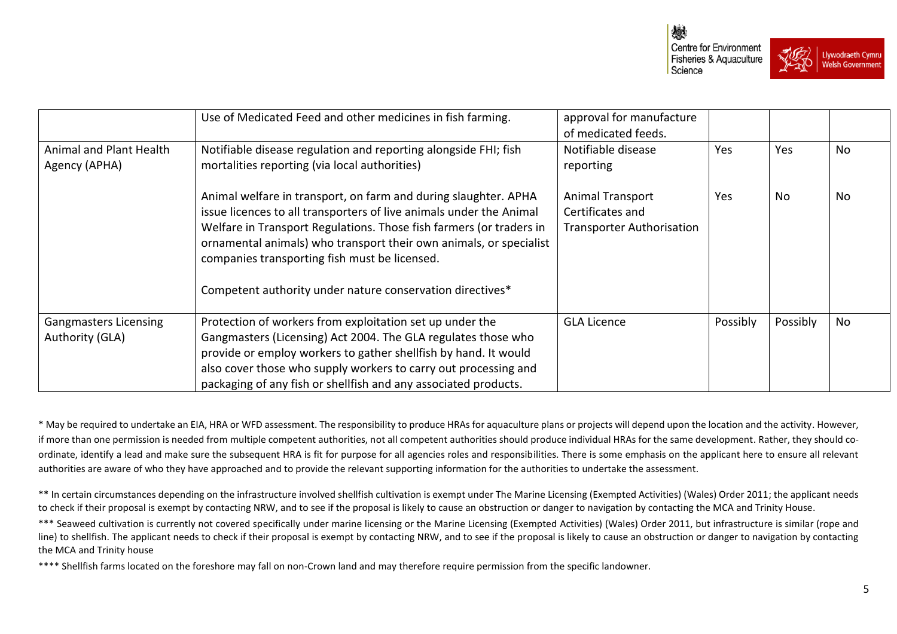



|                                                 | Use of Medicated Feed and other medicines in fish farming.                                                                                                                                                                                                                                                                                                                                        | approval for manufacture<br>of medicated feeds.                                 |          |          |    |
|-------------------------------------------------|---------------------------------------------------------------------------------------------------------------------------------------------------------------------------------------------------------------------------------------------------------------------------------------------------------------------------------------------------------------------------------------------------|---------------------------------------------------------------------------------|----------|----------|----|
| Animal and Plant Health<br>Agency (APHA)        | Notifiable disease regulation and reporting alongside FHI; fish<br>mortalities reporting (via local authorities)                                                                                                                                                                                                                                                                                  | Notifiable disease<br>reporting                                                 | Yes      | Yes      | No |
|                                                 | Animal welfare in transport, on farm and during slaughter. APHA<br>issue licences to all transporters of live animals under the Animal<br>Welfare in Transport Regulations. Those fish farmers (or traders in<br>ornamental animals) who transport their own animals, or specialist<br>companies transporting fish must be licensed.<br>Competent authority under nature conservation directives* | <b>Animal Transport</b><br>Certificates and<br><b>Transporter Authorisation</b> | Yes      | No.      | No |
| <b>Gangmasters Licensing</b><br>Authority (GLA) | Protection of workers from exploitation set up under the<br>Gangmasters (Licensing) Act 2004. The GLA regulates those who<br>provide or employ workers to gather shellfish by hand. It would<br>also cover those who supply workers to carry out processing and<br>packaging of any fish or shellfish and any associated products.                                                                | <b>GLA Licence</b>                                                              | Possibly | Possibly | No |

\* May be required to undertake an EIA, HRA or WFD assessment. The responsibility to produce HRAs for aquaculture plans or projects will depend upon the location and the activity. However, if more than one permission is needed from multiple competent authorities, not all competent authorities should produce individual HRAs for the same development. Rather, they should coordinate, identify a lead and make sure the subsequent HRA is fit for purpose for all agencies roles and responsibilities. There is some emphasis on the applicant here to ensure all relevant authorities are aware of who they have approached and to provide the relevant supporting information for the authorities to undertake the assessment.

\*\* In certain circumstances depending on the infrastructure involved shellfish cultivation is exempt under The Marine Licensing (Exempted Activities) (Wales) Order 2011; the applicant needs to check if their proposal is exempt by contacting NRW, and to see if the proposal is likely to cause an obstruction or danger to navigation by contacting the MCA and Trinity House.

\*\*\* Seaweed cultivation is currently not covered specifically under marine licensing or the Marine Licensing (Exempted Activities) (Wales) Order 2011, but infrastructure is similar (rope and line) to shellfish. The applicant needs to check if their proposal is exempt by contacting NRW, and to see if the proposal is likely to cause an obstruction or danger to navigation by contacting the MCA and Trinity house

\*\*\*\* Shellfish farms located on the foreshore may fall on non-Crown land and may therefore require permission from the specific landowner.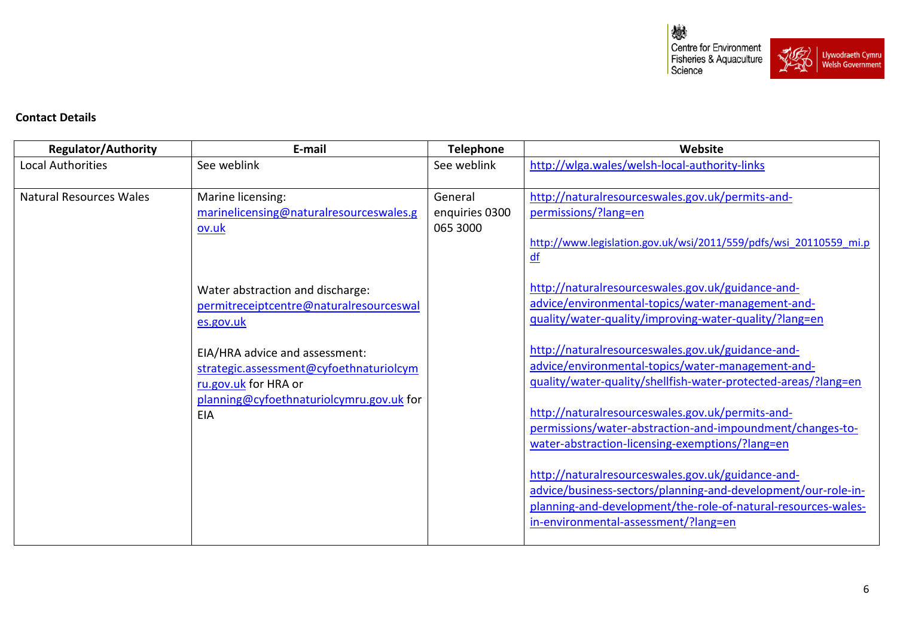燃 Centre for Environment<br>Fisheries & Aquaculture<br>Science **RUEL** A<br>
Uywodraeth Cymru<br>
O RWelsh Government ☎

## **Contact Details**

| <b>Regulator/Authority</b>     | E-mail                                   | <b>Telephone</b> | Website                                                                                                                        |
|--------------------------------|------------------------------------------|------------------|--------------------------------------------------------------------------------------------------------------------------------|
| <b>Local Authorities</b>       | See weblink                              | See weblink      | http://wlga.wales/welsh-local-authority-links                                                                                  |
|                                |                                          |                  |                                                                                                                                |
| <b>Natural Resources Wales</b> | Marine licensing:                        | General          | http://naturalresourceswales.gov.uk/permits-and-                                                                               |
|                                | marinelicensing@naturalresourceswales.g  | enquiries 0300   | permissions/?lang=en                                                                                                           |
|                                | ov.uk                                    | 065 3000         |                                                                                                                                |
|                                |                                          |                  | http://www.legislation.gov.uk/wsi/2011/559/pdfs/wsi 20110559 mi.p                                                              |
|                                |                                          |                  | df                                                                                                                             |
|                                | Water abstraction and discharge:         |                  | http://naturalresourceswales.gov.uk/guidance-and-                                                                              |
|                                | permitreceiptcentre@naturalresourceswal  |                  | advice/environmental-topics/water-management-and-                                                                              |
|                                | es.gov.uk                                |                  | quality/water-quality/improving-water-quality/?lang=en                                                                         |
|                                |                                          |                  |                                                                                                                                |
|                                | EIA/HRA advice and assessment:           |                  | http://naturalresourceswales.gov.uk/guidance-and-                                                                              |
|                                | strategic.assessment@cyfoethnaturiolcym  |                  | advice/environmental-topics/water-management-and-                                                                              |
|                                | ru.gov.uk for HRA or                     |                  | guality/water-quality/shellfish-water-protected-areas/?lang=en                                                                 |
|                                | planning@cyfoethnaturiolcymru.gov.uk for |                  |                                                                                                                                |
|                                | <b>EIA</b>                               |                  | http://naturalresourceswales.gov.uk/permits-and-                                                                               |
|                                |                                          |                  | permissions/water-abstraction-and-impoundment/changes-to-                                                                      |
|                                |                                          |                  | water-abstraction-licensing-exemptions/?lang=en                                                                                |
|                                |                                          |                  |                                                                                                                                |
|                                |                                          |                  | http://naturalresourceswales.gov.uk/guidance-and-                                                                              |
|                                |                                          |                  | advice/business-sectors/planning-and-development/our-role-in-<br>planning-and-development/the-role-of-natural-resources-wales- |
|                                |                                          |                  | in-environmental-assessment/?lang=en                                                                                           |
|                                |                                          |                  |                                                                                                                                |
|                                |                                          |                  |                                                                                                                                |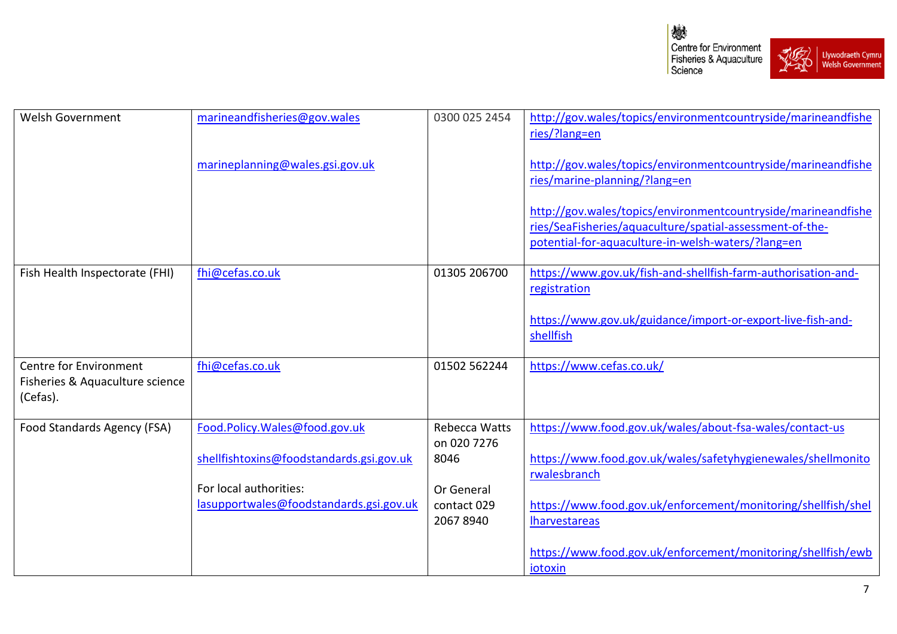



| <b>Welsh Government</b>                     | marineandfisheries@gov.wales             | 0300 025 2454                | http://gov.wales/topics/environmentcountryside/marineandfishe |
|---------------------------------------------|------------------------------------------|------------------------------|---------------------------------------------------------------|
|                                             |                                          |                              | ries/?lang=en                                                 |
|                                             | marineplanning@wales.gsi.gov.uk          |                              | http://gov.wales/topics/environmentcountryside/marineandfishe |
|                                             |                                          |                              | ries/marine-planning/?lang=en                                 |
|                                             |                                          |                              | http://gov.wales/topics/environmentcountryside/marineandfishe |
|                                             |                                          |                              | ries/SeaFisheries/aquaculture/spatial-assessment-of-the-      |
|                                             |                                          |                              | potential-for-aquaculture-in-welsh-waters/?lang=en            |
| Fish Health Inspectorate (FHI)              | fhi@cefas.co.uk                          | 01305 206700                 | https://www.gov.uk/fish-and-shellfish-farm-authorisation-and- |
|                                             |                                          |                              | registration                                                  |
|                                             |                                          |                              | https://www.gov.uk/guidance/import-or-export-live-fish-and-   |
|                                             |                                          |                              | shellfish                                                     |
| <b>Centre for Environment</b>               | fhi@cefas.co.uk                          | 01502 562244                 | https://www.cefas.co.uk/                                      |
| Fisheries & Aquaculture science<br>(Cefas). |                                          |                              |                                                               |
|                                             |                                          |                              |                                                               |
| Food Standards Agency (FSA)                 | Food.Policy.Wales@food.gov.uk            | Rebecca Watts<br>on 020 7276 | https://www.food.gov.uk/wales/about-fsa-wales/contact-us      |
|                                             | shellfishtoxins@foodstandards.gsi.gov.uk | 8046                         | https://www.food.gov.uk/wales/safetyhygienewales/shellmonito  |
|                                             |                                          |                              | rwalesbranch                                                  |
|                                             | For local authorities:                   | Or General                   |                                                               |
|                                             | lasupportwales@foodstandards.gsi.gov.uk  | contact 029                  | https://www.food.gov.uk/enforcement/monitoring/shellfish/shel |
|                                             |                                          | 2067 8940                    | <b>Iharvestareas</b>                                          |
|                                             |                                          |                              | https://www.food.gov.uk/enforcement/monitoring/shellfish/ewb  |
|                                             |                                          |                              | iotoxin                                                       |